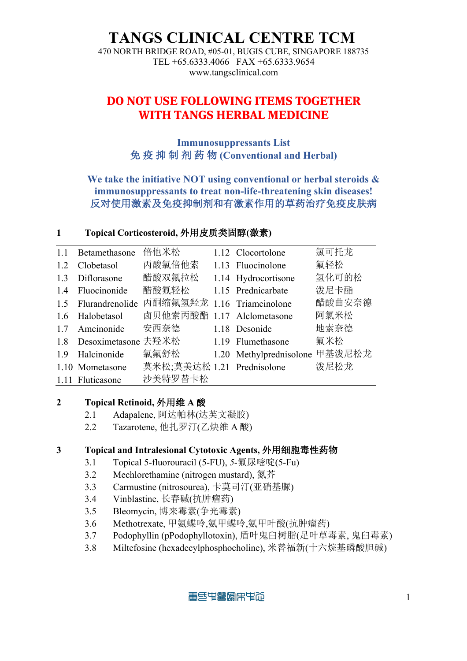### **TANGS CLINICAL CENTRE TCM**

470 NORTH BRIDGE ROAD, #05-01, BUGIS CUBE, SINGAPORE 188735 TEL +65.6333.4066 FAX +65.6333.9654 www.tangsclinical.com

### **DO NOT USE FOLLOWING ITEMS TOGETHER WITH TANGS HERBAL MEDICINE**

**Immunosuppressants List** 免 疫 抑 制 剂 药 物 **(Conventional and Herbal)**

#### **We take the initiative NOT using conventional or herbal steroids & immunosuppressants to treat non-life-threatening skin diseases!** 反对使用激素及免疫抑制剂和有激素作用的草药治疗免疫皮肤病

#### **1 Topical Corticosteroid,** 外用皮质类固醇**(**激素**)**

| 1.1 | Betamethasone       | 倍他米松                       | 1.12 Clocortolone       | 氯可托龙   |
|-----|---------------------|----------------------------|-------------------------|--------|
| 1.2 | Clobetasol          | 丙酸氯倍他索                     | $1.13$ Fluocinolone     | 氟轻松    |
| 1.3 | Diflorasone         | 醋酸双氟拉松                     | 1.14 Hydrocortisone     | 氢化可的松  |
|     | 1.4 Fluocinonide    | 醋酸氟轻松                      | 1.15 Prednicarbate      | 泼尼卡酯   |
| 1.5 |                     | Flurandrenolide 丙酮缩氟氢羟龙    | 1.16 Triamcinolone      | 醋酸曲安奈德 |
|     | 1.6 Halobetasol     | 卤贝他索丙酸酯                    | 1.17 Alclometasone      | 阿氯米松   |
| 1.7 | Amcinonide          | 安西奈德                       | 1.18 Desonide           | 地索奈德   |
| 1.8 | Desoximetasone 去羟米松 |                            | 1.19 Flumethasone       | 氟米松    |
| 1.9 | Halcinonide         | 氯氟舒松                       | 1.20 Methylprednisolone | 甲基泼尼松龙 |
|     | 1.10 Mometasone     | 莫米松;莫美达松 1.21 Prednisolone |                         | 泼尼松龙   |
|     | 1.11 Fluticasone    | 沙美特罗替卡松                    |                         |        |

#### **2 Topical Retinoid,** 外用维 **A** 酸

- 2.1 Adapalene, 阿达帕林(达芙文凝胶)
- 2.2 Tazarotene, 他扎罗汀(乙炔维 A 酸)

#### **3 Topical and Intralesional Cytotoxic Agents,** 外用细胞毒性药物

- 3.1 Topical 5-fluorouracil (5-FU), *5*-氟尿嘧啶(5-Fu)
- 3.2 Mechlorethamine (nitrogen mustard), 氮芥
- 3.3 Carmustine (nitrosourea), 卡莫司汀(亚硝基脲)
- 3.4 Vinblastine, 长春碱(抗肿瘤药)
- 3.5 Bleomycin, 博来霉素(争光霉素)
- 3.6 Methotrexate, 甲氨蝶呤,氨甲蝶呤,氨甲叶酸(抗肿瘤药)
- 3.7 Podophyllin (pPodophyllotoxin), 盾叶鬼臼树脂(足叶草毒素, 鬼臼毒素)
- 3.8 Miltefosine (hexadecylphosphocholine), 米替福新(十六烷基磷酸胆碱)

青色电霉调用电阻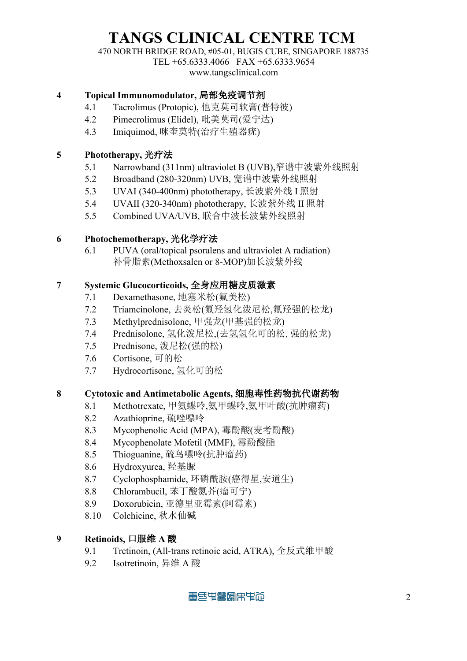# **TANGS CLINICAL CENTRE TCM**

470 NORTH BRIDGE ROAD, #05-01, BUGIS CUBE, SINGAPORE 188735

TEL +65.6333.4066 FAX +65.6333.9654

www.tangsclinical.com

#### **4 Topical Immunomodulator,** 局部免疫调节剂

- 4.1 Tacrolimus (Protopic), 他克莫司软膏(普特彼)
- 4.2 Pimecrolimus (Elidel), 吡美莫司(爱宁达)
- 4.3 Imiquimod, 咪奎莫特(治疗生殖器疣)

#### **5 Phototherapy,** 光疗法

- 5.1 Narrowband (311nm) ultraviolet B (UVB),窄谱中波紫外线照射
- 5.2 Broadband (280-320nm) UVB, 宽谱中波紫外线照射
- 5.3 UVAI (340-400nm) phototherapy, 长波紫外线 I 照射
- 5.4 UVAII (320-340nm) phototherapy, 长波紫外线 II 照射
- 5.5 Combined UVA/UVB, 联合中波长波紫外线照射

#### **6 Photochemotherapy,** 光化学疗法

6.1 PUVA (oral/topical psoralens and ultraviolet A radiation) 补骨脂素(Methoxsalen or 8-MOP)加长波紫外线

#### **7 Systemic Glucocorticoids,** 全身应用糖皮质激素

- 7.1 Dexamethasone, 地塞米松(氟美松)
- 7.2 Triamcinolone, 去炎松(氟羟氢化泼尼松,氟羟强的松龙)
- 7.3 Methylprednisolone, 甲强龙(甲基强的松龙)
- 7.4 Prednisolone, 氢化泼尼松,(去氢氢化可的松, 强的松龙)
- 7.5 Prednisone, 泼尼松(强的松)
- 7.6 Cortisone, 可的松
- 7.7 Hydrocortisone, 氢化可的松

#### **8 Cytotoxic and Antimetabolic Agents,** 细胞毒性药物抗代谢药物

- 8.1 Methotrexate, 甲氨蝶呤,氨甲蝶呤,氨甲叶酸(抗肿瘤药)
- 8.2 Azathioprine, 硫唑嘌呤
- 8.3 Mycophenolic Acid (MPA), 霉酚酸(麦考酚酸)
- 8.4 Mycophenolate Mofetil (MMF), 霉酚酸酯
- 8.5 Thioguanine, 硫鸟嘌呤(抗肿瘤药)
- 8.6 Hydroxyurea, 羟基脲
- 8.7 Cyclophosphamide, 环磷酰胺(癌得星,安道生)
- 8.8 Chlorambucil, 苯丁酸氮芥(瘤可宁)
- 8.9 Doxorubicin, 亚德里亚霉素(阿霉素)
- 8.10 Colchicine, 秋水仙碱

#### **9 Retinoids,** 口服维 **A** 酸

- 9.1 Tretinoin, (All-trans retinoic acid, ATRA), 全反式维甲酸
- 9.2 Isotretinoin, 异维 A 酸

青色电霉调用电阻